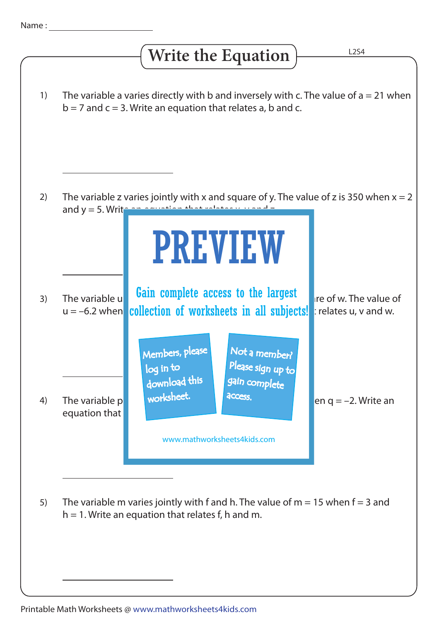## **Write the Equation**

The variable a varies directly with b and inversely with c. The value of  $a = 21$  when  $b = 7$  and  $c = 3$ . Write an equation that relates a, b and c. The variable z varies jointly with x and square of y. The value of z is 350 when  $x = 2$ and  $y = 5$ . Write an equation that relates  $x$ The variable under **Gain complete access to the largest** with the value of u = –6.2 when collection of worksheets in all subjects! relates u, v and w. The variable p variable variable p variable variable p variable with  $\frac{1}{2}$  access. equation that The variable m varies jointly with f and h. The value of  $m = 15$  when  $f = 3$  and  $h = 1$ . Write an equation that relates f, h and m. 1) 2) 3) 4) 5) PREVIEW www.mathworksheets4kids.com Members, please download this worksheet. log in to Not a member? gain complete Please sign up to **access**